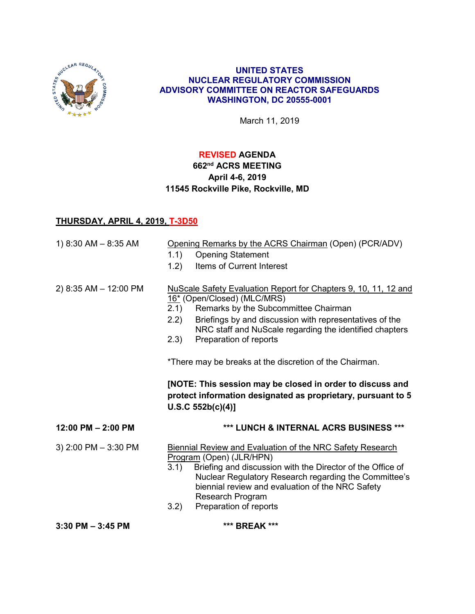

### **UNITED STATES NUCLEAR REGULATORY COMMISSION ADVISORY COMMITTEE ON REACTOR SAFEGUARDS WASHINGTON, DC 20555-0001**

March 11, 2019

## **REVISED AGENDA**

# **662nd ACRS MEETING April 4-6, 2019 11545 Rockville Pike, Rockville, MD**

## **THURSDAY, APRIL 4, 2019, T-3D50**

| 1) $8:30$ AM $- 8:35$ AM | Opening Remarks by the ACRS Chairman (Open) (PCR/ADV)<br>1.1)<br><b>Opening Statement</b><br>Items of Current Interest<br>1.2)                                                                                                                                                                                                                                                                                                                                                                                              |
|--------------------------|-----------------------------------------------------------------------------------------------------------------------------------------------------------------------------------------------------------------------------------------------------------------------------------------------------------------------------------------------------------------------------------------------------------------------------------------------------------------------------------------------------------------------------|
| 2) 8:35 AM - 12:00 PM    | NuScale Safety Evaluation Report for Chapters 9, 10, 11, 12 and<br>16* (Open/Closed) (MLC/MRS)<br>Remarks by the Subcommittee Chairman<br>2.1<br>Briefings by and discussion with representatives of the<br>2.2)<br>NRC staff and NuScale regarding the identified chapters<br>(2.3)<br>Preparation of reports<br>*There may be breaks at the discretion of the Chairman.<br>[NOTE: This session may be closed in order to discuss and<br>protect information designated as proprietary, pursuant to 5<br>U.S.C.552b(c)(4)] |
| $12:00$ PM $- 2:00$ PM   | *** LUNCH & INTERNAL ACRS BUSINESS ***                                                                                                                                                                                                                                                                                                                                                                                                                                                                                      |
| 3) $2:00$ PM $-3:30$ PM  | <b>Biennial Review and Evaluation of the NRC Safety Research</b><br>Program (Open) (JLR/HPN)<br>3.1)<br>Briefing and discussion with the Director of the Office of<br>Nuclear Regulatory Research regarding the Committee's<br>biennial review and evaluation of the NRC Safety<br><b>Research Program</b><br>Preparation of reports<br>3.2)                                                                                                                                                                                |
| $3:30$ PM $-3:45$ PM     | *** BREAK ***                                                                                                                                                                                                                                                                                                                                                                                                                                                                                                               |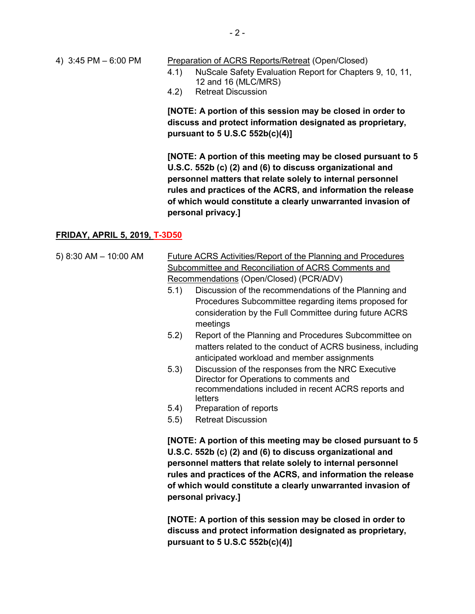### 4) 3:45 PM – 6:00 PM Preparation of ACRS Reports/Retreat (Open/Closed)

- 4.1) NuScale Safety Evaluation Report for Chapters 9, 10, 11, 12 and 16 (MLC/MRS)
- 4.2) Retreat Discussion

**[NOTE: A portion of this session may be closed in order to discuss and protect information designated as proprietary, pursuant to 5 U.S.C 552b(c)(4)]**

**[NOTE: A portion of this meeting may be closed pursuant to 5 U.S.C. 552b (c) (2) and (6) to discuss organizational and personnel matters that relate solely to internal personnel rules and practices of the ACRS, and information the release of which would constitute a clearly unwarranted invasion of personal privacy.]**

### **FRIDAY, APRIL 5, 2019, T-3D50**

- 5) 8:30 AM 10:00 AM Future ACRS Activities/Report of the Planning and Procedures Subcommittee and Reconciliation of ACRS Comments and Recommendations (Open/Closed) (PCR/ADV) 5.1) Discussion of the recommendations of the Planning and Procedures Subcommittee regarding items proposed for
	- consideration by the Full Committee during future ACRS meetings 5.2) Report of the Planning and Procedures Subcommittee on
	- matters related to the conduct of ACRS business, including anticipated workload and member assignments
	- 5.3) Discussion of the responses from the NRC Executive Director for Operations to comments and recommendations included in recent ACRS reports and letters
	- 5.4) Preparation of reports
	- 5.5) Retreat Discussion

**[NOTE: A portion of this meeting may be closed pursuant to 5 U.S.C. 552b (c) (2) and (6) to discuss organizational and personnel matters that relate solely to internal personnel rules and practices of the ACRS, and information the release of which would constitute a clearly unwarranted invasion of personal privacy.]**

**[NOTE: A portion of this session may be closed in order to discuss and protect information designated as proprietary, pursuant to 5 U.S.C 552b(c)(4)]**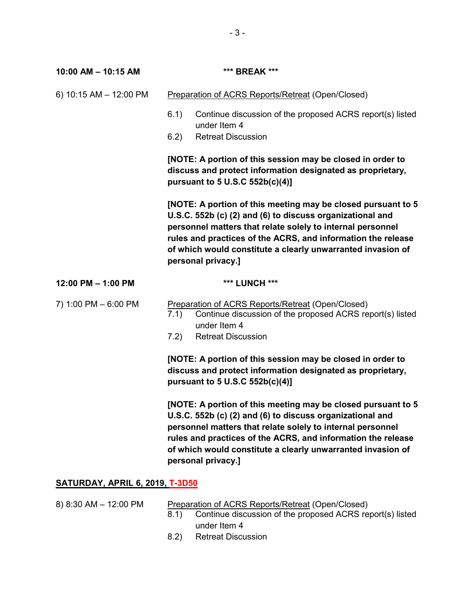| 10:00 AM - 10:15 AM                    | *** BREAK ***                                                                                                                                                                                                                                                                                                                                |
|----------------------------------------|----------------------------------------------------------------------------------------------------------------------------------------------------------------------------------------------------------------------------------------------------------------------------------------------------------------------------------------------|
| 6) 10:15 AM - 12:00 PM                 | Preparation of ACRS Reports/Retreat (Open/Closed)                                                                                                                                                                                                                                                                                            |
|                                        | 6.1)<br>Continue discussion of the proposed ACRS report(s) listed<br>under Item 4                                                                                                                                                                                                                                                            |
|                                        | 6.2)<br><b>Retreat Discussion</b>                                                                                                                                                                                                                                                                                                            |
|                                        | [NOTE: A portion of this session may be closed in order to<br>discuss and protect information designated as proprietary,<br>pursuant to 5 U.S.C 552b(c)(4)]                                                                                                                                                                                  |
|                                        | [NOTE: A portion of this meeting may be closed pursuant to 5<br>U.S.C. 552b (c) (2) and (6) to discuss organizational and<br>personnel matters that relate solely to internal personnel<br>rules and practices of the ACRS, and information the release<br>of which would constitute a clearly unwarranted invasion of<br>personal privacy.] |
| 12:00 PM - 1:00 PM                     | *** LUNCH ***                                                                                                                                                                                                                                                                                                                                |
| 7) 1:00 PM - 6:00 PM                   | Preparation of ACRS Reports/Retreat (Open/Closed)<br>Continue discussion of the proposed ACRS report(s) listed<br>7.1)<br>under Item 4                                                                                                                                                                                                       |
|                                        | <b>Retreat Discussion</b><br>7.2)                                                                                                                                                                                                                                                                                                            |
|                                        | [NOTE: A portion of this session may be closed in order to<br>discuss and protect information designated as proprietary,<br>pursuant to 5 U.S.C 552b(c)(4)]                                                                                                                                                                                  |
|                                        | [NOTE: A portion of this meeting may be closed pursuant to 5<br>U.S.C. 552b (c) (2) and (6) to discuss organizational and<br>personnel matters that relate solely to internal personnel<br>rules and practices of the ACRS, and information the release<br>of which would constitute a clearly unwarranted invasion of<br>personal privacy.] |
| <b>SATURDAY, APRIL 6, 2019, T-3D50</b> |                                                                                                                                                                                                                                                                                                                                              |

8) 8:30 AM – 12:00 PM Preparation of ACRS Reports/Retreat (Open/Closed) 8.1) Continue discussion of the proposed ACRS report(s) listed under Item 4

8.2) Retreat Discussion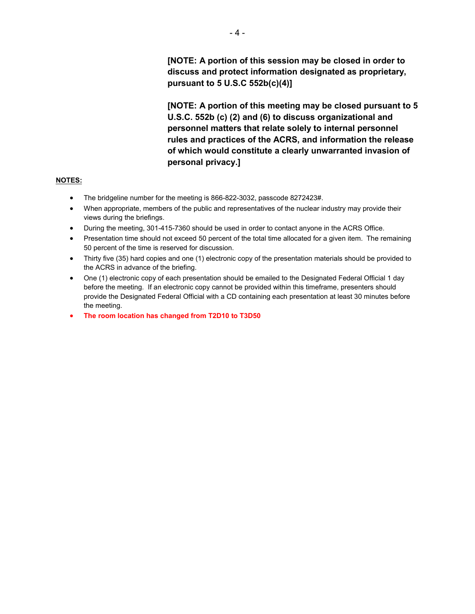**[NOTE: A portion of this meeting may be closed pursuant to 5 U.S.C. 552b (c) (2) and (6) to discuss organizational and personnel matters that relate solely to internal personnel rules and practices of the ACRS, and information the release of which would constitute a clearly unwarranted invasion of personal privacy.]**

### **NOTES:**

- The bridgeline number for the meeting is 866-822-3032, passcode 8272423#.
- When appropriate, members of the public and representatives of the nuclear industry may provide their views during the briefings.
- During the meeting, 301-415-7360 should be used in order to contact anyone in the ACRS Office.
- Presentation time should not exceed 50 percent of the total time allocated for a given item. The remaining 50 percent of the time is reserved for discussion.
- Thirty five (35) hard copies and one (1) electronic copy of the presentation materials should be provided to the ACRS in advance of the briefing.
- One (1) electronic copy of each presentation should be emailed to the Designated Federal Official 1 day before the meeting. If an electronic copy cannot be provided within this timeframe, presenters should provide the Designated Federal Official with a CD containing each presentation at least 30 minutes before the meeting.
- **The room location has changed from T2D10 to T3D50**